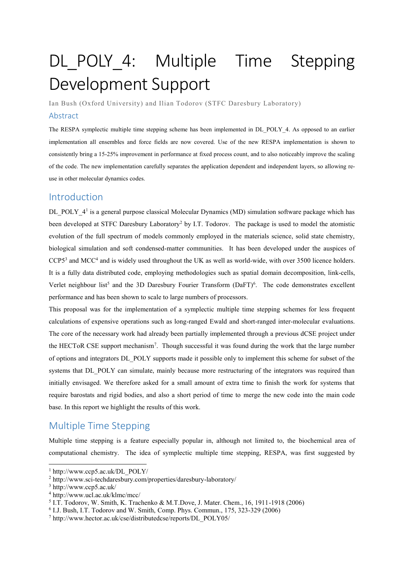# DL POLY 4: Multiple Time Stepping Development Support

Ian Bush (Oxford University) and Ilian Todorov (STFC Daresbury Laboratory)

#### Abstract

The RESPA symplectic multiple time stepping scheme has been implemented in DL\_POLY\_4. As opposed to an earlier implementation all ensembles and force fields are now covered. Use of the new RESPA implementation is shown to consistently bring a 15-25% improvement in performance at fixed process count, and to also noticeably improve the scaling of the code. The new implementation carefully separates the application dependent and independent layers, so allowing reuse in other molecular dynamics codes.

### Introduction

DL\_POLY\_4<sup>1</sup> is a general purpose classical Molecular Dynamics (MD) simulation software package which has been developed at STFC Daresbury Laboratory<sup>2</sup> by I.T. Todorov. The package is used to model the atomistic evolution of the full spectrum of models commonly employed in the materials science, solid state chemistry, biological simulation and soft condensed-matter communities. It has been developed under the auspices of CCP5<sup>3</sup> and MCC<sup>4</sup> and is widely used throughout the UK as well as world-wide, with over 3500 licence holders. It is a fully data distributed code, employing methodologies such as spatial domain decomposition, link-cells, Verlet neighbour list<sup>5</sup> and the 3D Daresbury Fourier Transform (DaFT)<sup>6</sup>. The code demonstrates excellent performance and has been shown to scale to large numbers of processors.

This proposal was for the implementation of a symplectic multiple time stepping schemes for less frequent calculations of expensive operations such as long-ranged Ewald and short-ranged inter-molecular evaluations. The core of the necessary work had already been partially implemented through a previous dCSE project under the HECToR CSE support mechanism<sup>7</sup>. Though successful it was found during the work that the large number of options and integrators DL\_POLY supports made it possible only to implement this scheme for subset of the systems that DL\_POLY can simulate, mainly because more restructuring of the integrators was required than initially envisaged. We therefore asked for a small amount of extra time to finish the work for systems that require barostats and rigid bodies, and also a short period of time to merge the new code into the main code base. In this report we highlight the results of this work.

## Multiple Time Stepping

Multiple time stepping is a feature especially popular in, although not limited to, the biochemical area of computational chemistry. The idea of symplectic multiple time stepping, RESPA, was first suggested by

1

<sup>1</sup> http://www.ccp5.ac.uk/DL\_POLY/

<sup>2</sup> http://www.sci-techdaresbury.com/properties/daresbury-laboratory/

<sup>3</sup> http://www.ccp5.ac.uk/

<sup>4</sup> http://www.ucl.ac.uk/klmc/mcc/

<sup>&</sup>lt;sup>5</sup> I.T. Todorov, W. Smith, K. Trachenko & M.T.Dove, J. Mater. Chem., 16, 1911-1918 (2006)

<sup>6</sup> I.J. Bush, I.T. Todorov and W. Smith, Comp. Phys. Commun., 175, 323-329 (2006)

<sup>7</sup> http://www.hector.ac.uk/cse/distributedcse/reports/DL\_POLY05/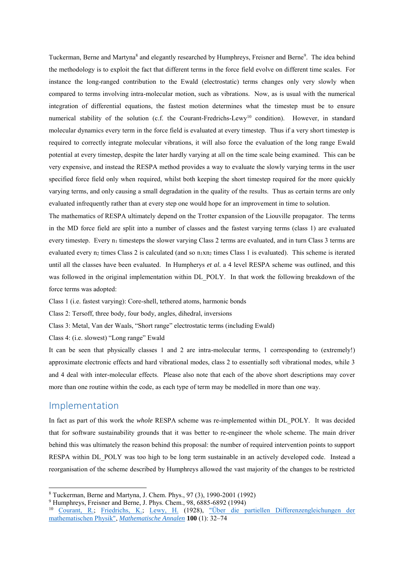Tuckerman, Berne and Martyna<sup>8</sup> and elegantly researched by Humphreys, Freisner and Berne<sup>9</sup>. The idea behind the methodology is to exploit the fact that different terms in the force field evolve on different time scales. For instance the long-ranged contribution to the Ewald (electrostatic) terms changes only very slowly when compared to terms involving intra-molecular motion, such as vibrations. Now, as is usual with the numerical integration of differential equations, the fastest motion determines what the timestep must be to ensure numerical stability of the solution (c.f. the Courant-Fredrichs-Lewy<sup>10</sup> condition). However, in standard molecular dynamics every term in the force field is evaluated at every timestep. Thus if a very short timestep is required to correctly integrate molecular vibrations, it will also force the evaluation of the long range Ewald potential at every timestep, despite the later hardly varying at all on the time scale being examined. This can be very expensive, and instead the RESPA method provides a way to evaluate the slowly varying terms in the user specified force field only when required, whilst both keeping the short timestep required for the more quickly varying terms, and only causing a small degradation in the quality of the results. Thus as certain terms are only evaluated infrequently rather than at every step one would hope for an improvement in time to solution.

The mathematics of RESPA ultimately depend on the Trotter expansion of the Liouville propagator. The terms in the MD force field are split into a number of classes and the fastest varying terms (class 1) are evaluated every timestep. Every  $n_1$  timesteps the slower varying Class 2 terms are evaluated, and in turn Class 3 terms are evaluated every  $n_2$  times Class 2 is calculated (and so  $n_1xn_2$  times Class 1 is evaluated). This scheme is iterated until all the classes have been evaluated. In Humpherys *et al.* a 4 level RESPA scheme was outlined, and this was followed in the original implementation within DL\_POLY. In that work the following breakdown of the force terms was adopted:

Class 1 (i.e. fastest varying): Core-shell, tethered atoms, harmonic bonds

Class 2: Tersoff, three body, four body, angles, dihedral, inversions

Class 3: Metal, Van der Waals, "Short range" electrostatic terms (including Ewald)

Class 4: (i.e. slowest) "Long range" Ewald

It can be seen that physically classes 1 and 2 are intra-molecular terms, 1 corresponding to (extremely!) approximate electronic effects and hard vibrational modes, class 2 to essentially soft vibrational modes, while 3 and 4 deal with inter-molecular effects. Please also note that each of the above short descriptions may cover more than one routine within the code, as each type of term may be modelled in more than one way.

#### Implementation

-

In fact as part of this work the *whole* RESPA scheme was re-implemented within DL\_POLY. It was decided that for software sustainability grounds that it was better to re-engineer the whole scheme. The main driver behind this was ultimately the reason behind this proposal: the number of required intervention points to support RESPA within DL\_POLY was too high to be long term sustainable in an actively developed code. Instead a reorganisation of the scheme described by Humphreys allowed the vast majority of the changes to be restricted

<sup>8</sup> Tuckerman, Berne and Martyna, J. Chem. Phys., 97 (3), 1990-2001 (1992)

<sup>9</sup> Humphreys, Freisner and Berne, J. Phys. Chem., 98, 6885-6892 (1994)

<sup>&</sup>lt;sup>10</sup> [Courant, R.;](http://en.wikipedia.org/wiki/Richard_Courant) [Friedrichs, K.;](http://en.wikipedia.org/wiki/Kurt_Otto_Friedrichs) [Lewy, H.](http://en.wikipedia.org/wiki/Hans_Lewy) (1928), "Über die partiellen Differenzengleichungen der [mathematischen Physik",](http://resolver.sub.uni-goettingen.de/purl?GDZPPN002272636) *[Mathematische Annalen](http://en.wikipedia.org/wiki/Mathematische_Annalen)* **100** (1): 32–74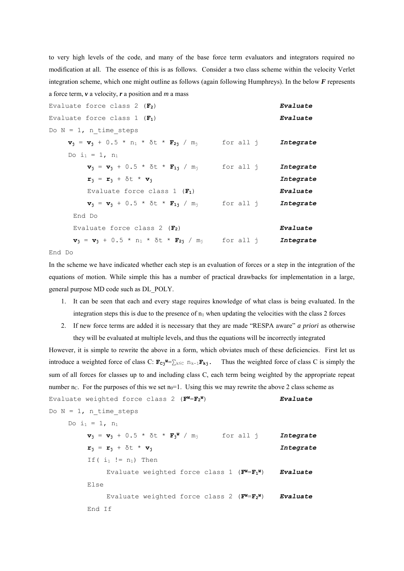to very high levels of the code, and many of the base force term evaluators and integrators required no modification at all. The essence of this is as follows. Consider a two class scheme within the velocity Verlet integration scheme, which one might outline as follows (again following Humphreys). In the below *F* represents a force term, *v* a velocity, *r* a position and *m* a mass

| Evaluate force class 2 $(F_2)$                                                                                                    | Evaluate  |
|-----------------------------------------------------------------------------------------------------------------------------------|-----------|
| Evaluate force class 1 $(F_1)$                                                                                                    | Evaluate  |
| Do $N = 1$ , n time steps                                                                                                         |           |
| $\mathbf{v}_j = \mathbf{v}_j + 0.5 * n_1 * \delta t * \mathbf{F}_{2j} / m_j$ for all j Integrate                                  |           |
| Do $i_1 = 1$ , n <sub>1</sub>                                                                                                     |           |
| $v_i = v_i + 0.5 * \delta t * F_{1i} / m_i$ for all j                                                                             | Integrate |
| $\mathbf{r}_i = \mathbf{r}_i + \delta t + \mathbf{v}_i$                                                                           | Integrate |
| Evaluate force class 1 $(F_1)$                                                                                                    | Evaluate  |
| $v_i = v_i + 0.5 * \delta t * F_{1i} / m_i$ for all j                                                                             | Integrate |
| End Do                                                                                                                            |           |
| Evaluate force class 2 $(F_2)$                                                                                                    | Evaluate  |
| $\mathbf{v}_i = \mathbf{v}_i + 0.5$ * n <sub>1</sub> * $\delta t$ * $\mathbf{F}_{2j}$ / m <sub>j</sub> for all j <i>Integrate</i> |           |
|                                                                                                                                   |           |

End Do

In the scheme we have indicated whether each step is an evaluation of forces or a step in the integration of the equations of motion. While simple this has a number of practical drawbacks for implementation in a large, general purpose MD code such as DL\_POLY.

- 1. It can be seen that each and every stage requires knowledge of what class is being evaluated. In the integration steps this is due to the presence of  $n_1$  when updating the velocities with the class 2 forces
- 2. If new force terms are added it is necessary that they are made "RESPA aware" *a priori* as otherwise they will be evaluated at multiple levels, and thus the equations will be incorrectly integrated

However, it is simple to rewrite the above in a form, which obviates much of these deficiencies. First let us introduce a weighted force of class C:  $\mathbf{F}_{\mathbf{Cj}} \mathbf{W} = \sum_{k \leq C} n_{k-1} \mathbf{F}_{kj}$ . Thus the weighted force of class C is simply the sum of all forces for classes up to and including class C, each term being weighted by the appropriate repeat number n<sub>C</sub>. For the purposes of this we set  $n_0=1$ . Using this we may rewrite the above 2 class scheme as Evaluate weighted force class 2 (**FW**=**F<sup>2</sup> <sup>W</sup>**) *Evaluate*

Do  $N = 1$ , n time steps Do  $i_1 = 1$ ,  $n_1$  $\mathbf{v}_\mathbf{j} = \mathbf{v}_\mathbf{j} + 0.5 \times \delta t \times \mathbf{F}_\mathbf{j}^{\mathbf{w}} / m_\mathbf{j}$  for all j *Integrate*  $r_j = r_j + \delta t * v_j$  *Integrate*  $If(i_1 := n_1)$  Then Evaluate weighted force class 1 (**FW**=**F<sup>1</sup> <sup>W</sup>**) *Evaluate* Else Evaluate weighted force class 2  $(\mathbf{F}^{\mathbf{W}}=\mathbf{F}_{2}^{\mathbf{W}})$ **<sup>W</sup>**) *Evaluate* End If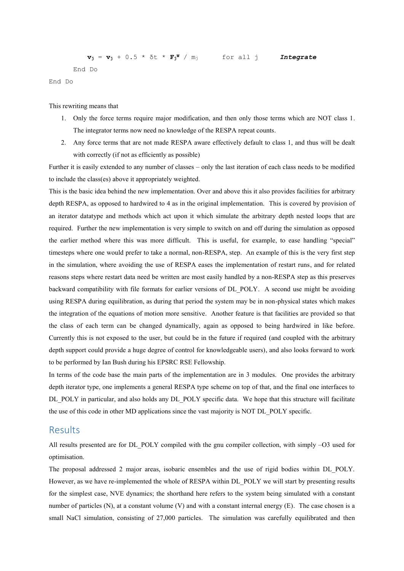$\mathbf{v}_\mathbf{j} = \mathbf{v}_\mathbf{j} + 0.5 \times \delta t \times \mathbf{F}_\mathbf{j}^{\mathbf{w}} / m_\mathbf{j}$  for all j *Integrate* End Do

End Do

This rewriting means that

- 1. Only the force terms require major modification, and then only those terms which are NOT class 1. The integrator terms now need no knowledge of the RESPA repeat counts.
- 2. Any force terms that are not made RESPA aware effectively default to class 1, and thus will be dealt with correctly (if not as efficiently as possible)

Further it is easily extended to any number of classes – only the last iteration of each class needs to be modified to include the class(es) above it appropriately weighted.

This is the basic idea behind the new implementation. Over and above this it also provides facilities for arbitrary depth RESPA, as opposed to hardwired to 4 as in the original implementation. This is covered by provision of an iterator datatype and methods which act upon it which simulate the arbitrary depth nested loops that are required. Further the new implementation is very simple to switch on and off during the simulation as opposed the earlier method where this was more difficult. This is useful, for example, to ease handling "special" timesteps where one would prefer to take a normal, non-RESPA, step. An example of this is the very first step in the simulation, where avoiding the use of RESPA eases the implementation of restart runs, and for related reasons steps where restart data need be written are most easily handled by a non-RESPA step as this preserves backward compatibility with file formats for earlier versions of DL\_POLY. A second use might be avoiding using RESPA during equilibration, as during that period the system may be in non-physical states which makes the integration of the equations of motion more sensitive. Another feature is that facilities are provided so that the class of each term can be changed dynamically, again as opposed to being hardwired in like before. Currently this is not exposed to the user, but could be in the future if required (and coupled with the arbitrary depth support could provide a huge degree of control for knowledgeable users), and also looks forward to work to be performed by Ian Bush during his EPSRC RSE Fellowship.

In terms of the code base the main parts of the implementation are in 3 modules. One provides the arbitrary depth iterator type, one implements a general RESPA type scheme on top of that, and the final one interfaces to DL\_POLY in particular, and also holds any DL\_POLY specific data. We hope that this structure will facilitate the use of this code in other MD applications since the vast majority is NOT DL\_POLY specific.

#### Results

All results presented are for DL\_POLY compiled with the gnu compiler collection, with simply –O3 used for optimisation.

The proposal addressed 2 major areas, isobaric ensembles and the use of rigid bodies within DL\_POLY. However, as we have re-implemented the whole of RESPA within DL\_POLY we will start by presenting results for the simplest case, NVE dynamics; the shorthand here refers to the system being simulated with a constant number of particles (N), at a constant volume (V) and with a constant internal energy (E). The case chosen is a small NaCl simulation, consisting of 27,000 particles. The simulation was carefully equilibrated and then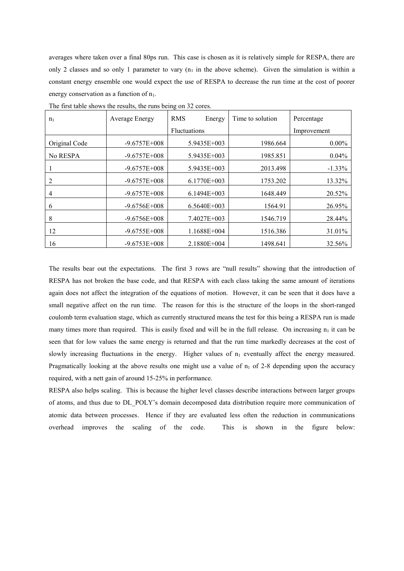averages where taken over a final 80ps run. This case is chosen as it is relatively simple for RESPA, there are only 2 classes and so only 1 parameter to vary  $(n_1$  in the above scheme). Given the simulation is within a constant energy ensemble one would expect the use of RESPA to decrease the run time at the cost of poorer energy conservation as a function of  $n_1$ .

| n <sub>1</sub> | Average Energy   | <b>RMS</b><br>Energy | Time to solution | Percentage  |
|----------------|------------------|----------------------|------------------|-------------|
|                |                  | <b>Fluctuations</b>  |                  | Improvement |
| Original Code  | $-9.6757E + 008$ | 5.9435E+003          | 1986.664         | $0.00\%$    |
| No RESPA       | $-9.6757E + 008$ | 5.9435E+003          | 1985.851         | $0.04\%$    |
|                | $-9.6757E + 008$ | 5.9435E+003          | 2013.498         | $-1.33\%$   |
| 2              | $-9.6757E + 008$ | 6.1770E+003          | 1753.202         | 13.32%      |
| 4              | $-9.6757E + 008$ | $6.1494E+003$        | 1648.449         | 20.52%      |
| 6              | $-9.6756E + 008$ | $6.5640E+003$        | 1564.91          | 26.95%      |
| 8              | $-9.6756E + 008$ | 7.4027E+003          | 1546.719         | 28.44%      |
| 12             | $-9.6755E+008$   | 1.1688E+004          | 1516.386         | 31.01%      |
| 16             | $-9.6753E+008$   | 2.1880E+004          | 1498.641         | 32.56%      |

The first table shows the results, the runs being on 32 cores.

The results bear out the expectations. The first 3 rows are "null results" showing that the introduction of RESPA has not broken the base code, and that RESPA with each class taking the same amount of iterations again does not affect the integration of the equations of motion. However, it can be seen that it does have a small negative affect on the run time. The reason for this is the structure of the loops in the short-ranged coulomb term evaluation stage, which as currently structured means the test for this being a RESPA run is made many times more than required. This is easily fixed and will be in the full release. On increasing  $n_1$  it can be seen that for low values the same energy is returned and that the run time markedly decreases at the cost of slowly increasing fluctuations in the energy. Higher values of  $n_1$  eventually affect the energy measured. Pragmatically looking at the above results one might use a value of  $n_1$  of 2-8 depending upon the accuracy required, with a nett gain of around 15-25% in performance.

RESPA also helps scaling. This is because the higher level classes describe interactions between larger groups of atoms, and thus due to DL\_POLY's domain decomposed data distribution require more communication of atomic data between processes. Hence if they are evaluated less often the reduction in communications overhead improves the scaling of the code. This is shown in the figure below: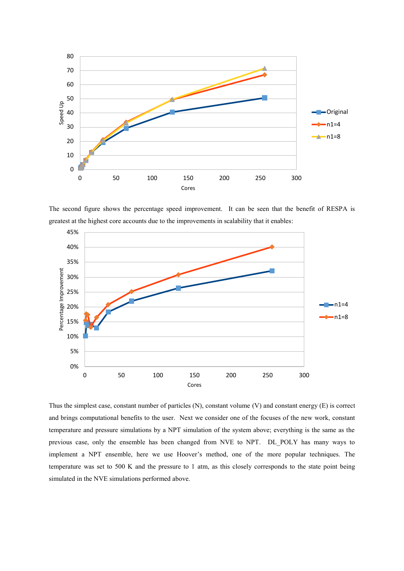

The second figure shows the percentage speed improvement. It can be seen that the benefit of RESPA is greatest at the highest core accounts due to the improvements in scalability that it enables:



Thus the simplest case, constant number of particles (N), constant volume (V) and constant energy (E) is correct and brings computational benefits to the user. Next we consider one of the focuses of the new work, constant temperature and pressure simulations by a NPT simulation of the system above; everything is the same as the previous case, only the ensemble has been changed from NVE to NPT. DL\_POLY has many ways to implement a NPT ensemble, here we use Hoover's method, one of the more popular techniques. The temperature was set to 500 K and the pressure to 1 atm, as this closely corresponds to the state point being simulated in the NVE simulations performed above.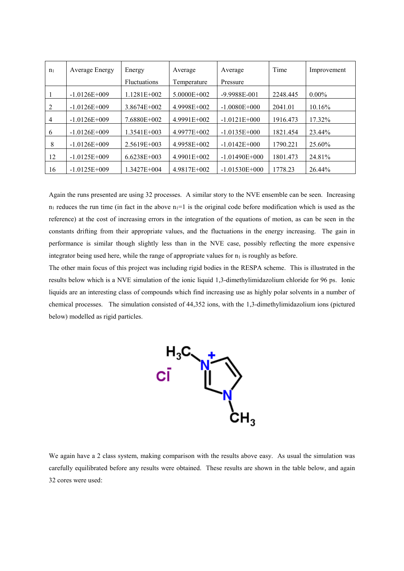| n <sub>1</sub> | Average Energy   | Energy              | Average         | Average           | Time     | Improvement |
|----------------|------------------|---------------------|-----------------|-------------------|----------|-------------|
|                |                  | <b>Fluctuations</b> | Temperature     | Pressure          |          |             |
|                | $-1.0126E + 009$ | 1.1281E+002         | $5.0000E + 002$ | $-9.9988E - 001$  | 2248.445 | $0.00\%$    |
|                | $-1.0126E + 009$ | 3.8674E+002         | 4.9998E+002     | $-1.0080E + 000$  | 2041.01  | 10.16%      |
| $\overline{4}$ | $-1.0126E + 009$ | 7.6880E+002         | 4.9991E+002     | $-1.0121E+000$    | 1916.473 | 17.32%      |
| 6              | $-1.0126E + 009$ | 1.3541E+003         | 4.9977E+002     | $-1.0135E + 000$  | 1821.454 | 23.44%      |
| 8              | $-1.0126E + 009$ | $2.5619E + 003$     | 4.9958E+002     | $-1.0142E + 000$  | 1790.221 | 25.60%      |
| 12             | $-1.0125E + 009$ | $6.6238E + 003$     | $4.9901E+002$   | $-1.01490E + 000$ | 1801.473 | 24.81%      |
| 16             | $-1.0125E + 009$ | 1.3427E+004         | 4.9817E+002     | $-1.01530E + 000$ | 1778.23  | 26.44%      |

Again the runs presented are using 32 processes. A similar story to the NVE ensemble can be seen. Increasing  $n_1$  reduces the run time (in fact in the above  $n_1=1$  is the original code before modification which is used as the reference) at the cost of increasing errors in the integration of the equations of motion, as can be seen in the constants drifting from their appropriate values, and the fluctuations in the energy increasing. The gain in performance is similar though slightly less than in the NVE case, possibly reflecting the more expensive integrator being used here, while the range of appropriate values for  $n_1$  is roughly as before.

The other main focus of this project was including rigid bodies in the RESPA scheme. This is illustrated in the results below which is a NVE simulation of the ionic liquid 1,3-dimethylimidazolium chloride for 96 ps. Ionic liquids are an interesting class of compounds which find increasing use as highly polar solvents in a number of chemical processes. The simulation consisted of 44,352 ions, with the 1,3-dimethylimidazolium ions (pictured below) modelled as rigid particles.



We again have a 2 class system, making comparison with the results above easy. As usual the simulation was carefully equilibrated before any results were obtained. These results are shown in the table below, and again 32 cores were used: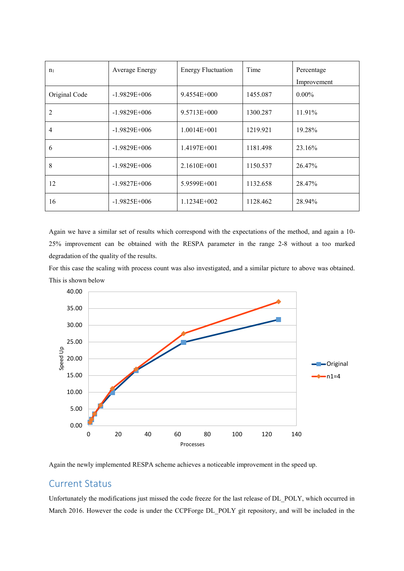| n <sub>1</sub> | Average Energy   | <b>Energy Fluctuation</b> | Time     | Percentage  |
|----------------|------------------|---------------------------|----------|-------------|
|                |                  |                           |          | Improvement |
| Original Code  | $-1.9829E+006$   | 9.4554E+000               | 1455.087 | $0.00\%$    |
| $\overline{2}$ | $-1.9829E+006$   | $9.5713E + 000$           | 1300.287 | 11.91%      |
| 4              | $-1.9829E+006$   | $1.0014E + 001$           | 1219.921 | 19.28%      |
| 6              | $-1.9829E+006$   | 1.4197E+001               | 1181.498 | 23.16%      |
| 8              | $-1.9829E+006$   | $2.1610E + 001$           | 1150.537 | 26.47%      |
| 12             | $-1.9827E + 006$ | 5.9599E+001               | 1132.658 | 28.47%      |
| 16             | $-1.9825E+006$   | $1.1234E+002$             | 1128.462 | 28.94%      |

Again we have a similar set of results which correspond with the expectations of the method, and again a 10- 25% improvement can be obtained with the RESPA parameter in the range 2-8 without a too marked degradation of the quality of the results.

For this case the scaling with process count was also investigated, and a similar picture to above was obtained. This is shown below



Again the newly implemented RESPA scheme achieves a noticeable improvement in the speed up.

## Current Status

Unfortunately the modifications just missed the code freeze for the last release of DL\_POLY, which occurred in March 2016. However the code is under the CCPForge DL\_POLY git repository, and will be included in the